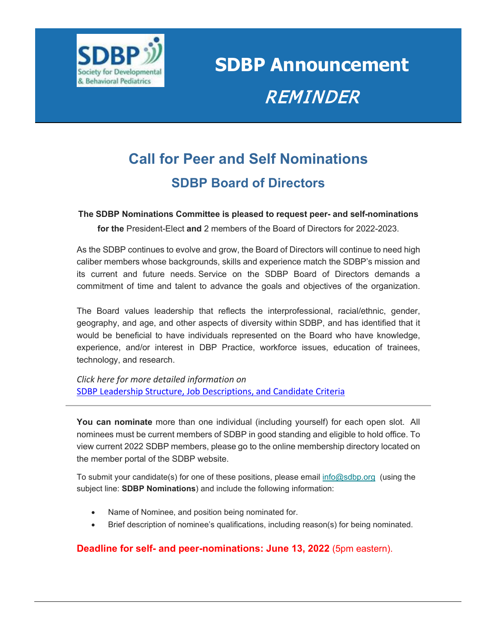

**SDBP Announcement**  REMINDER

## **Call for Peer and Self Nominations SDBP Board of Directors**

## **The SDBP Nominations Committee is pleased to request peer- and self-nominations**

**for the** President-Elect **and** 2 members of the Board of Directors for 2022-2023.

As the SDBP continues to evolve and grow, the Board of Directors will continue to need high caliber members whose backgrounds, skills and experience match the SDBP's mission and its current and future needs. Service on the SDBP Board of Directors demands a commitment of time and talent to advance the goals and objectives of the organization.

The Board values leadership that reflects the interprofessional, racial/ethnic, gender, geography, and age, and other aspects of diversity within SDBP, and has identified that it would be beneficial to have individuals represented on the Board who have knowledge, experience, and/or interest in DBP Practice, workforce issues, education of trainees, technology, and research.

*Click here for more detailed information on*  [SDBP Leadership Structure, Job Descriptions, and Candidate Criteria](https://sdbp-video.s3.amazonaws.com/wp-content/uploads/2022/05/24170716/SDBP-Leadership-Structure_Job-Descriptions_5_11_2022.pdf)

**You can nominate** more than one individual (including yourself) for each open slot. All nominees must be current members of SDBP in good standing and eligible to hold office. To view current 2022 SDBP members, please go to the online membership directory located on the member portal of the SDBP website.

To submit your candidate(s) for one of these positions, please email [info@sdbp.org](mailto:info@sdbp.org) (using the subject line: **SDBP Nominations**) and include the following information:

- Name of Nominee, and position being nominated for.
- Brief description of nominee's qualifications, including reason(s) for being nominated.

## **Deadline for self- and peer-nominations: June 13, 2022** (5pm eastern).